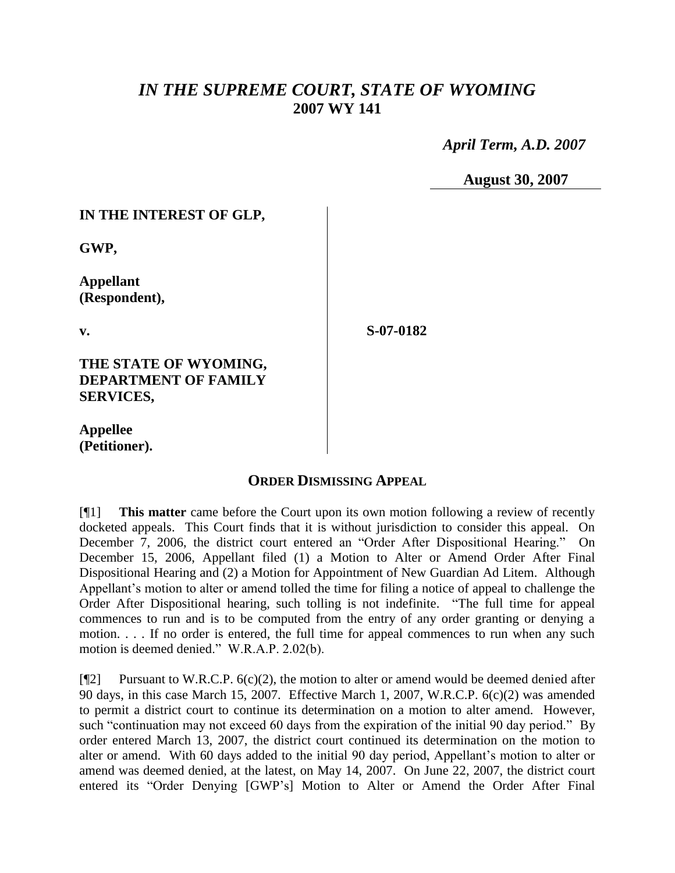# *IN THE SUPREME COURT, STATE OF WYOMING* **2007 WY 141**

 *April Term, A.D. 2007*

**August 30, 2007**

### **IN THE INTEREST OF GLP,**

**GWP,**

**Appellant (Respondent),**

**v.**

**S-07-0182**

#### **THE STATE OF WYOMING, DEPARTMENT OF FAMILY SERVICES,**

**Appellee (Petitioner).**

## **ORDER DISMISSING APPEAL**

[¶1] **This matter** came before the Court upon its own motion following a review of recently docketed appeals. This Court finds that it is without jurisdiction to consider this appeal. On December 7, 2006, the district court entered an "Order After Dispositional Hearing."On December 15, 2006, Appellant filed (1) a Motion to Alter or Amend Order After Final Dispositional Hearing and (2) a Motion for Appointment of New Guardian Ad Litem. Although Appellant's motion to alter or amend tolled the time for filing a notice of appeal to challenge the Order After Dispositional hearing, such tolling is not indefinite. "The full time for appeal commences to run and is to be computed from the entry of any order granting or denying a motion. . . . If no order is entered, the full time for appeal commences to run when any such motion is deemed denied." W.R.A.P. 2.02(b).

 $[$ [ $\degree$ [2] Pursuant to W.R.C.P. 6(c)(2), the motion to alter or amend would be deemed denied after 90 days, in this case March 15, 2007. Effective March 1, 2007, W.R.C.P. 6(c)(2) was amended to permit a district court to continue its determination on a motion to alter amend. However, such "continuation may not exceed 60 days from the expiration of the initial 90 day period." By order entered March 13, 2007, the district court continued its determination on the motion to alter or amend. With 60 days added to the initial 90 day period, Appellant's motion to alter or amend was deemed denied, at the latest, on May 14, 2007. On June 22, 2007, the district court entered its "Order Denying [GWP's] Motion to Alter or Amend the Order After Final